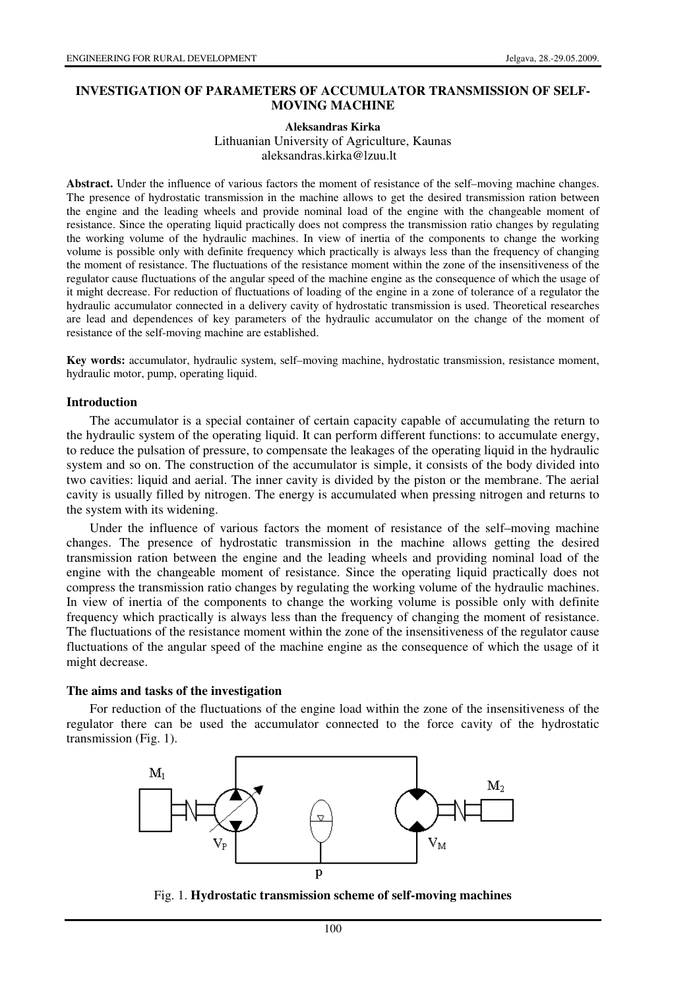# **INVESTIGATION OF PARAMETERS OF ACCUMULATOR TRANSMISSION OF SELF-MOVING MACHINE**

# **Aleksandras Kirka**  Lithuanian University of Agriculture, Kaunas aleksandras.kirka@lzuu.lt

**Abstract.** Under the influence of various factors the moment of resistance of the self–moving machine changes. The presence of hydrostatic transmission in the machine allows to get the desired transmission ration between the engine and the leading wheels and provide nominal load of the engine with the changeable moment of resistance. Since the operating liquid practically does not compress the transmission ratio changes by regulating the working volume of the hydraulic machines. In view of inertia of the components to change the working volume is possible only with definite frequency which practically is always less than the frequency of changing the moment of resistance. The fluctuations of the resistance moment within the zone of the insensitiveness of the regulator cause fluctuations of the angular speed of the machine engine as the consequence of which the usage of it might decrease. For reduction of fluctuations of loading of the engine in a zone of tolerance of a regulator the hydraulic accumulator connected in a delivery cavity of hydrostatic transmission is used. Theoretical researches are lead and dependences of key parameters of the hydraulic accumulator on the change of the moment of resistance of the self-moving machine are established.

**Key words:** accumulator, hydraulic system, self–moving machine, hydrostatic transmission, resistance moment, hydraulic motor, pump, operating liquid.

### **Introduction**

The accumulator is a special container of certain capacity capable of accumulating the return to the hydraulic system of the operating liquid. It can perform different functions: to accumulate energy, to reduce the pulsation of pressure, to compensate the leakages of the operating liquid in the hydraulic system and so on. The construction of the accumulator is simple, it consists of the body divided into two cavities: liquid and aerial. The inner cavity is divided by the piston or the membrane. The aerial cavity is usually filled by nitrogen. The energy is accumulated when pressing nitrogen and returns to the system with its widening.

Under the influence of various factors the moment of resistance of the self–moving machine changes. The presence of hydrostatic transmission in the machine allows getting the desired transmission ration between the engine and the leading wheels and providing nominal load of the engine with the changeable moment of resistance. Since the operating liquid practically does not compress the transmission ratio changes by regulating the working volume of the hydraulic machines. In view of inertia of the components to change the working volume is possible only with definite frequency which practically is always less than the frequency of changing the moment of resistance. The fluctuations of the resistance moment within the zone of the insensitiveness of the regulator cause fluctuations of the angular speed of the machine engine as the consequence of which the usage of it might decrease.

### **The aims and tasks of the investigation**

For reduction of the fluctuations of the engine load within the zone of the insensitiveness of the regulator there can be used the accumulator connected to the force cavity of the hydrostatic transmission (Fig. 1).



Fig. 1. **Hydrostatic transmission scheme of self-moving machines**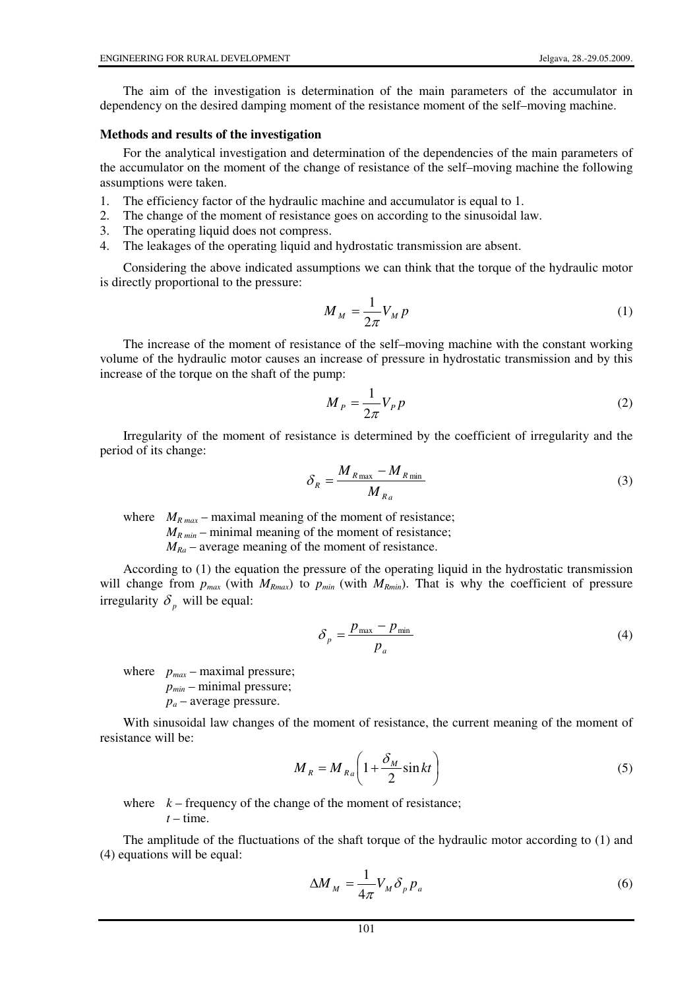The aim of the investigation is determination of the main parameters of the accumulator in dependency on the desired damping moment of the resistance moment of the self–moving machine.

# **Methods and results of the investigation**

For the analytical investigation and determination of the dependencies of the main parameters of the accumulator on the moment of the change of resistance of the self–moving machine the following assumptions were taken.

- 1. The efficiency factor of the hydraulic machine and accumulator is equal to 1.
- 2. The change of the moment of resistance goes on according to the sinusoidal law.
- 3. The operating liquid does not compress.
- 4. The leakages of the operating liquid and hydrostatic transmission are absent.

Considering the above indicated assumptions we can think that the torque of the hydraulic motor is directly proportional to the pressure:

$$
M_M = \frac{1}{2\pi} V_M p \tag{1}
$$

The increase of the moment of resistance of the self–moving machine with the constant working volume of the hydraulic motor causes an increase of pressure in hydrostatic transmission and by this increase of the torque on the shaft of the pump:

$$
M_P = \frac{1}{2\pi} V_P p \tag{2}
$$

Irregularity of the moment of resistance is determined by the coefficient of irregularity and the period of its change:

$$
\delta_R = \frac{M_{R\,\text{max}} - M_{R\,\text{min}}}{M_{R_a}}\tag{3}
$$

where  $M_{R max}$  – maximal meaning of the moment of resistance;

 $M_{R min}$  – minimal meaning of the moment of resistance;

 $M_{Ra}$  – average meaning of the moment of resistance.

According to (1) the equation the pressure of the operating liquid in the hydrostatic transmission will change from  $p_{max}$  (with  $M_{Rmax}$ ) to  $p_{min}$  (with  $M_{Rmin}$ ). That is why the coefficient of pressure irregularity  $\delta_p$  will be equal:

$$
\delta_p = \frac{p_{\text{max}} - p_{\text{min}}}{p_a} \tag{4}
$$

where  $p_{max}$  – maximal pressure; *pmin* – minimal pressure; *p<sup>a</sup>* – average pressure.

With sinusoidal law changes of the moment of resistance, the current meaning of the moment of resistance will be:

$$
M_R = M_{R_a} \left( 1 + \frac{\delta_M}{2} \sin kt \right) \tag{5}
$$

where  $k -$  frequency of the change of the moment of resistance;  $t$  – time.

The amplitude of the fluctuations of the shaft torque of the hydraulic motor according to (1) and (4) equations will be equal:

$$
\Delta M_M = \frac{1}{4\pi} V_M \delta_p p_a \tag{6}
$$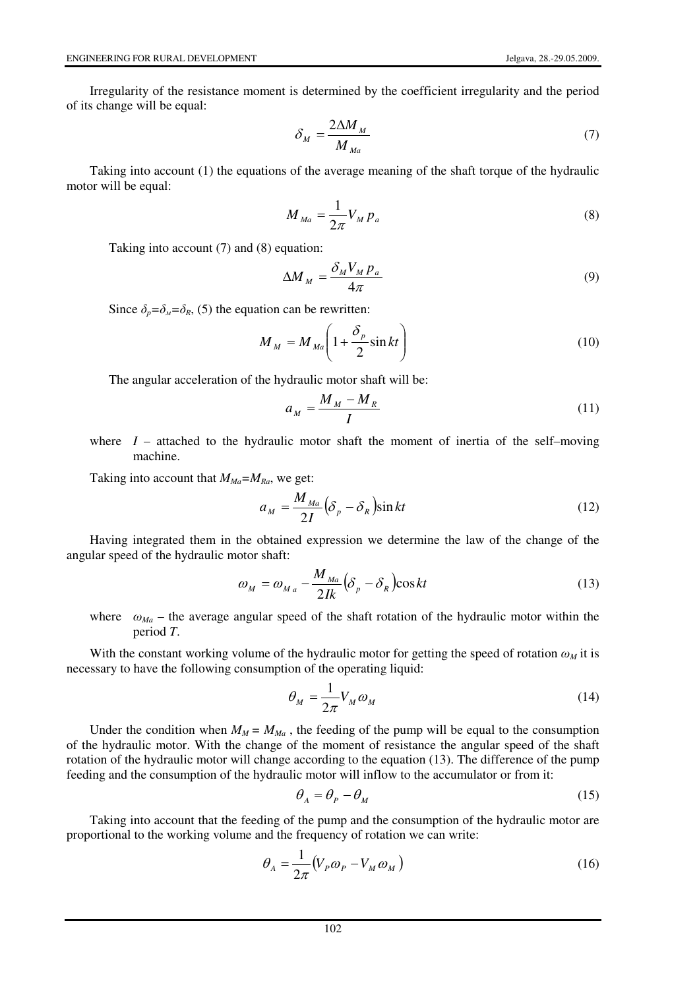Irregularity of the resistance moment is determined by the coefficient irregularity and the period of its change will be equal:

$$
\delta_M = \frac{2\Delta M_M}{M_{Ma}}\tag{7}
$$

Taking into account (1) the equations of the average meaning of the shaft torque of the hydraulic motor will be equal:

$$
M_{Ma} = \frac{1}{2\pi} V_M P_a \tag{8}
$$

Taking into account (7) and (8) equation:

$$
\Delta M_M = \frac{\delta_M V_M p_a}{4\pi} \tag{9}
$$

Since  $\delta_n = \delta_k = \delta_R$ , (5) the equation can be rewritten:

$$
M_M = M_{Ma} \left( 1 + \frac{\delta_p}{2} \sin kt \right) \tag{10}
$$

The angular acceleration of the hydraulic motor shaft will be:

$$
a_M = \frac{M_M - M_R}{I} \tag{11}
$$

where  $I$  – attached to the hydraulic motor shaft the moment of inertia of the self–moving machine.

Taking into account that  $M_{Ma} = M_{Ra}$ , we get:

$$
a_M = \frac{M_{Ma}}{2I} \left( \delta_p - \delta_R \right) \sin kt \tag{12}
$$

Having integrated them in the obtained expression we determine the law of the change of the angular speed of the hydraulic motor shaft:

$$
\omega_M = \omega_{M_a} - \frac{M_{Ma}}{2Ik} \left(\delta_p - \delta_R\right) \cos kt \tag{13}
$$

where  $\omega_{Ma}$  – the average angular speed of the shaft rotation of the hydraulic motor within the period *T*.

With the constant working volume of the hydraulic motor for getting the speed of rotation  $\omega_M$  it is necessary to have the following consumption of the operating liquid:

$$
\theta_M = \frac{1}{2\pi} V_M \omega_M \tag{14}
$$

Under the condition when  $M_M = M_{Ma}$ , the feeding of the pump will be equal to the consumption of the hydraulic motor. With the change of the moment of resistance the angular speed of the shaft rotation of the hydraulic motor will change according to the equation (13). The difference of the pump feeding and the consumption of the hydraulic motor will inflow to the accumulator or from it:

$$
\theta_A = \theta_P - \theta_M \tag{15}
$$

Taking into account that the feeding of the pump and the consumption of the hydraulic motor are proportional to the working volume and the frequency of rotation we can write:

$$
\theta_A = \frac{1}{2\pi} \left( V_p \omega_p - V_M \omega_M \right) \tag{16}
$$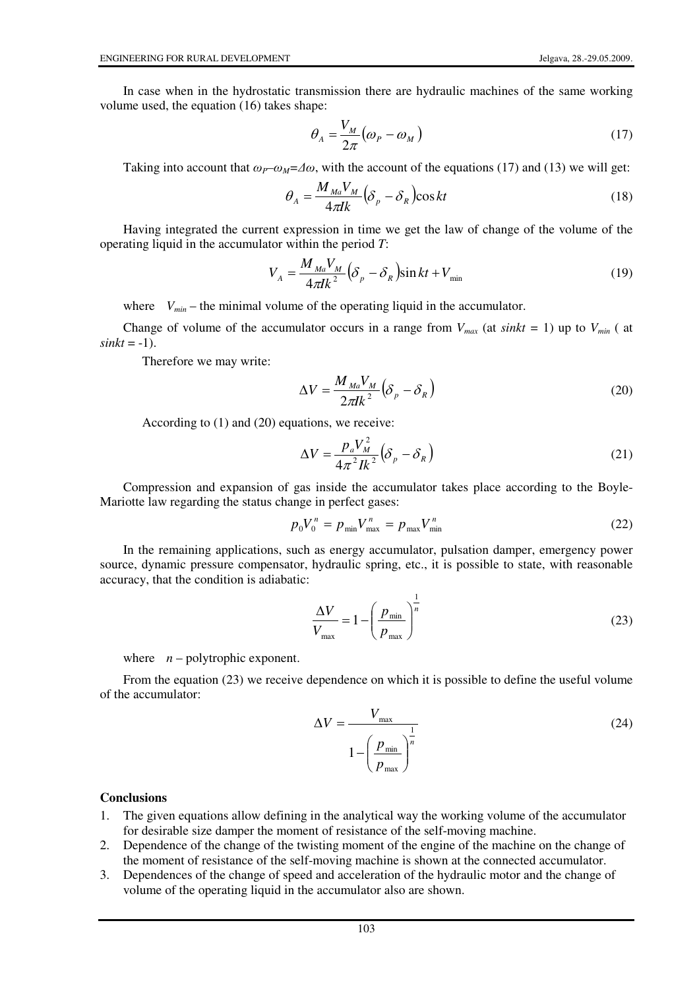In case when in the hydrostatic transmission there are hydraulic machines of the same working volume used, the equation (16) takes shape:

$$
\theta_A = \frac{V_M}{2\pi} \left( \omega_P - \omega_M \right) \tag{17}
$$

Taking into account that  $\omega_P \sim \omega_M = \pm \omega$ , with the account of the equations (17) and (13) we will get:

$$
\theta_A = \frac{M_{Ma} V_M}{4\pi I k} \left(\delta_p - \delta_R\right) \cos kt \tag{18}
$$

Having integrated the current expression in time we get the law of change of the volume of the operating liquid in the accumulator within the period *T*:

$$
V_A = \frac{M_{Ma}V_M}{4\pi I k^2} \left(\delta_p - \delta_R\right) \sin kt + V_{\text{min}} \tag{19}
$$

where  $V_{min}$  – the minimal volume of the operating liquid in the accumulator.

Change of volume of the accumulator occurs in a range from  $V_{max}$  (at *sinkt* = 1) up to  $V_{min}$  ( at  $sinkt = -1$ ).

Therefore we may write:

$$
\Delta V = \frac{M_{Ma} V_M}{2\pi I k^2} \left(\delta_p - \delta_R\right)
$$
\n(20)

According to (1) and (20) equations, we receive:

$$
\Delta V = \frac{p_a V_M^2}{4\pi^2 I k^2} \left(\delta_p - \delta_R\right)
$$
\n(21)

Compression and expansion of gas inside the accumulator takes place according to the Boyle-Mariotte law regarding the status change in perfect gases:

$$
p_0 V_0^n = p_{\min} V_{\max}^n = p_{\max} V_{\min}^n
$$
 (22)

In the remaining applications, such as energy accumulator, pulsation damper, emergency power source, dynamic pressure compensator, hydraulic spring, etc., it is possible to state, with reasonable accuracy, that the condition is adiabatic:

$$
\frac{\Delta V}{V_{\text{max}}} = 1 - \left(\frac{p_{\text{min}}}{p_{\text{max}}}\right)^{\frac{1}{n}}
$$
(23)

where  $n$  – polytrophic exponent.

From the equation (23) we receive dependence on which it is possible to define the useful volume of the accumulator:

$$
\Delta V = \frac{V_{\text{max}}}{1 - \left(\frac{p_{\text{min}}}{p_{\text{max}}}\right)^{\frac{1}{n}}}
$$
(24)

# **Conclusions**

- 1. The given equations allow defining in the analytical way the working volume of the accumulator for desirable size damper the moment of resistance of the self-moving machine.
- 2. Dependence of the change of the twisting moment of the engine of the machine on the change of the moment of resistance of the self-moving machine is shown at the connected accumulator.
- 3. Dependences of the change of speed and acceleration of the hydraulic motor and the change of volume of the operating liquid in the accumulator also are shown.